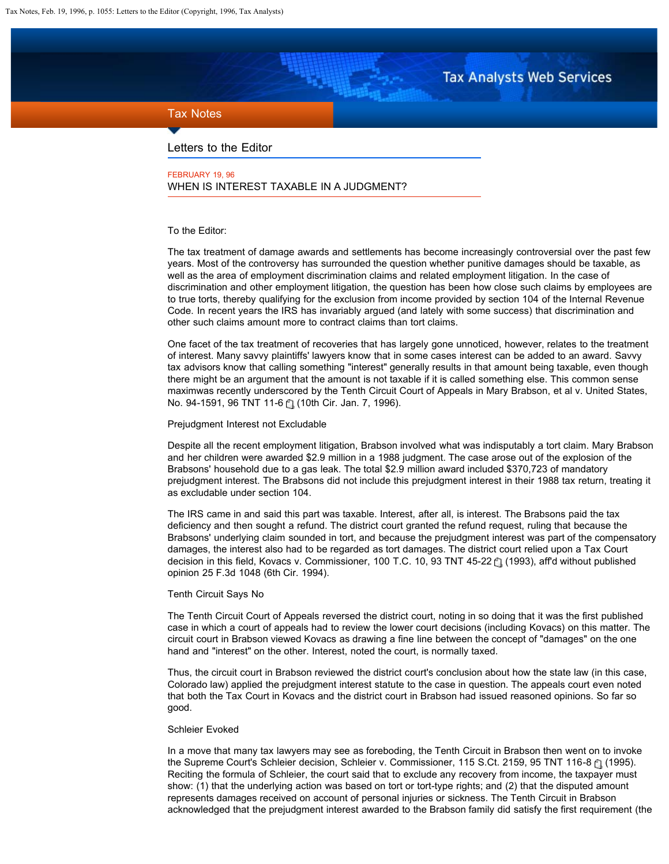# **Tax Analysts Web Services**

# <span id="page-0-0"></span>Tax Notes

Letters to the Editor

FEBRUARY 19, 96 WHEN IS INTEREST TAXABLE IN A JUDGMENT?

# To the Editor:

The tax treatment of damage awards and settlements has become increasingly controversial over the past few years. Most of the controversy has surrounded the question whether punitive damages should be taxable, as well as the area of employment discrimination claims and related employment litigation. In the case of discrimination and other employment litigation, the question has been how close such claims by employees are to true torts, thereby qualifying for the exclusion from income provided by section 104 of the Internal Revenue Code. In recent years the IRS has invariably argued (and lately with some success) that discrimination and other such claims amount more to contract claims than tort claims.

One facet of the tax treatment of recoveries that has largely gone unnoticed, however, relates to the treatment of interest. Many savvy plaintiffs' lawyers know that in some cases interest can be added to an award. Savvy tax advisors know that calling something "interest" generally results in that amount being taxable, even though there might be an argument that the amount is not taxable if it is called something else. This common sense maximwas recently underscored by the Tenth Circuit Court of Appeals in Mary Brabson, et al v. United States, No.94-1591, 96 TNT 11-6 (1) (10th Cir. Jan. 7, 1996).

Prejudgment Interest not Excludable

Despite all the recent employment litigation, Brabson involved what was indisputably a tort claim. Mary Brabson and her children were awarded \$2.9 million in a 1988 judgment. The case arose out of the explosion of the Brabsons' household due to a gas leak. The total \$2.9 million award included \$370,723 of mandatory prejudgment interest. The Brabsons did not include this prejudgment interest in their 1988 tax return, treating it as excludable under section 104.

The IRS came in and said this part was taxable. Interest, after all, is interest. The Brabsons paid the tax deficiency and then sought a refund. The district court granted the refund request, ruling that because the Brabsons' underlying claim sounded in tort, and because the prejudgment interest was part of the compensatory damages, the interest also had to be regarded as tort damages. The district court relied upon a Tax Court decisionin this field, Kovacs v. Commissioner, 100 T.C. 10, 93 TNT 45-22  $\uparrow$  (1993), aff'd without published opinion 25 F.3d 1048 (6th Cir. 1994).

# Tenth Circuit Says No

The Tenth Circuit Court of Appeals reversed the district court, noting in so doing that it was the first published case in which a court of appeals had to review the lower court decisions (including Kovacs) on this matter. The circuit court in Brabson viewed Kovacs as drawing a fine line between the concept of "damages" on the one hand and "interest" on the other. Interest, noted the court, is normally taxed.

Thus, the circuit court in Brabson reviewed the district court's conclusion about how the state law (in this case, Colorado law) applied the prejudgment interest statute to the case in question. The appeals court even noted that both the Tax Court in Kovacs and the district court in Brabson had issued reasoned opinions. So far so good.

#### Schleier Evoked

In a move that many tax lawyers may see as foreboding, the Tenth Circuit in Brabson then went on to invoke theSupreme Court's Schleier decision, Schleier v. Commissioner, 115 S.Ct. 2159, 95 TNT 116-8 (1995). Reciting the formula of Schleier, the court said that to exclude any recovery from income, the taxpayer must show: (1) that the underlying action was based on tort or tort-type rights; and (2) that the disputed amount represents damages received on account of personal injuries or sickness. The Tenth Circuit in Brabson acknowledged that the prejudgment interest awarded to the Brabson family did satisfy the first requirement (the